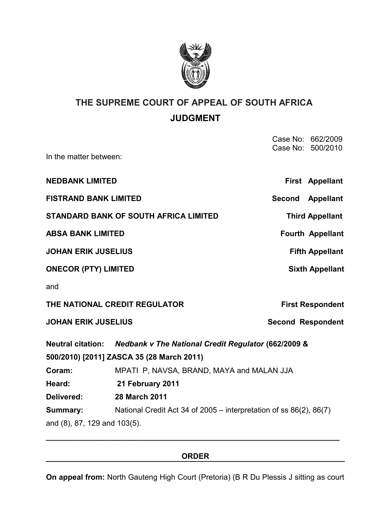

# **THE SUPREME COURT OF APPEAL OF SOUTH AFRICA JUDGMENT**

| In the matter between:                       |                                                                         |                          | Case No: 662/2009<br>Case No: 500/2010 |
|----------------------------------------------|-------------------------------------------------------------------------|--------------------------|----------------------------------------|
|                                              |                                                                         |                          |                                        |
| <b>NEDBANK LIMITED</b>                       |                                                                         |                          | First Appellant                        |
| <b>FISTRAND BANK LIMITED</b>                 |                                                                         |                          | Second Appellant                       |
| <b>STANDARD BANK OF SOUTH AFRICA LIMITED</b> |                                                                         |                          | <b>Third Appellant</b>                 |
| <b>ABSA BANK LIMITED</b>                     |                                                                         |                          | <b>Fourth Appellant</b>                |
| <b>JOHAN ERIK JUSELIUS</b>                   |                                                                         |                          | <b>Fifth Appellant</b>                 |
| <b>ONECOR (PTY) LIMITED</b>                  |                                                                         |                          | <b>Sixth Appellant</b>                 |
| and                                          |                                                                         |                          |                                        |
| THE NATIONAL CREDIT REGULATOR                |                                                                         |                          | <b>First Respondent</b>                |
| <b>JOHAN ERIK JUSELIUS</b>                   |                                                                         | <b>Second Respondent</b> |                                        |
|                                              | Neutral citation: Nedbank v The National Credit Regulator (662/2009 &   |                          |                                        |
|                                              | 500/2010) [2011] ZASCA 35 (28 March 2011)                               |                          |                                        |
| Coram:                                       | MPATI P, NAVSA, BRAND, MAYA and MALAN JJA                               |                          |                                        |
| Heard:                                       | 21 February 2011                                                        |                          |                                        |
| Delivered:                                   | <b>28 March 2011</b>                                                    |                          |                                        |
| Summary:                                     | National Credit Act 34 of 2005 – interpretation of ss $86(2)$ , $86(7)$ |                          |                                        |
| and (8), 87, 129 and 103(5).                 |                                                                         |                          |                                        |

### **ORDER**

**\_\_\_\_\_\_\_\_\_\_\_\_\_\_\_\_\_\_\_\_\_\_\_\_\_\_\_\_\_\_\_\_\_\_\_\_\_\_\_\_\_\_\_\_\_\_\_\_\_\_\_\_\_\_\_\_\_\_\_\_\_\_\_\_\_\_\_\_\_**

**On appeal from:** North Gauteng High Court (Pretoria) (B R Du Plessis J sitting as court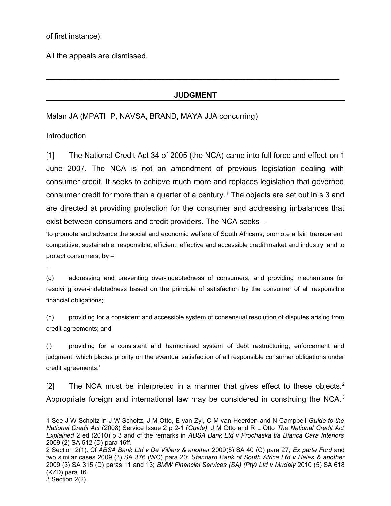of first instance):

All the appeals are dismissed.

### **JUDGMENT**

**\_\_\_\_\_\_\_\_\_\_\_\_\_\_\_\_\_\_\_\_\_\_\_\_\_\_\_\_\_\_\_\_\_\_\_\_\_\_\_\_\_\_\_\_\_\_\_\_\_\_\_\_\_\_\_\_\_\_\_\_\_\_\_\_\_\_\_\_\_**

Malan JA (MPATI P, NAVSA, BRAND, MAYA JJA concurring)

Introduction

[1] The National Credit Act 34 of 2005 (the NCA) came into full force and effect on 1 June 2007. The NCA is not an amendment of previous legislation dealing with consumer credit. It seeks to achieve much more and replaces legislation that governed consumer credit for more than a quarter of a century.<sup>[1](#page-1-0)</sup> The objects are set out in s 3 and are directed at providing protection for the consumer and addressing imbalances that exist between consumers and credit providers. The NCA seeks –

'to promote and advance the social and economic welfare of South Africans, promote a fair, transparent, competitive, sustainable, responsible, efficient, effective and accessible credit market and industry, and to protect consumers, by –

...

(g) addressing and preventing over-indebtedness of consumers, and providing mechanisms for resolving over-indebtedness based on the principle of satisfaction by the consumer of all responsible financial obligations;

(h) providing for a consistent and accessible system of consensual resolution of disputes arising from credit agreements; and

(i) providing for a consistent and harmonised system of debt restructuring, enforcement and judgment, which places priority on the eventual satisfaction of all responsible consumer obligations under credit agreements.'

[[2](#page-1-1)] The NCA must be interpreted in a manner that gives effect to these objects.<sup>2</sup> Appropriate foreign and international law may be considered in construing the NCA.<sup>[3](#page-1-2)</sup>

<span id="page-1-0"></span><sup>1</sup> See J W Scholtz in J W Scholtz, J M Otto, E van Zyl, C M van Heerden and N Campbell *Guide to the National Credit Act* (2008) Service Issue 2 p 2-1 (*Guide)*; J M Otto and R L Otto *The National Credit Act Explained* 2 ed (2010) p 3 and cf the remarks in *ABSA Bank Ltd v Prochaska t/a Bianca Cara Interiors* 2009 (2) SA 512 (D) para 16ff.

<span id="page-1-2"></span><span id="page-1-1"></span><sup>2</sup> Section 2(1). Cf *ABSA Bank Ltd v De Villiers & another* 2009(5) SA 40 (C) para 27; *Ex parte Ford* and two similar cases 2009 (3) SA 376 (WC) para 20; *Standard Bank of South Africa Ltd v Hales & another* 2009 (3) SA 315 (D) paras 11 and 13; *BMW Financial Services (SA) (Pty) Ltd v Mudaly* 2010 (5) SA 618 (KZD) para 16.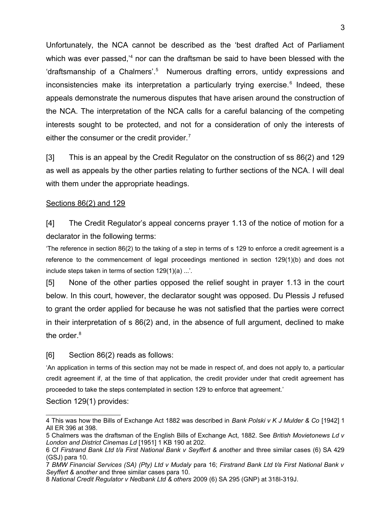Unfortunately, the NCA cannot be described as the 'best drafted Act of Parliament which was ever passed,<sup>2[4](#page-2-0)</sup> nor can the draftsman be said to have been blessed with the 'draftsmanship of a Chalmers'.<sup>[5](#page-2-1)</sup> Numerous drafting errors, untidy expressions and inconsistencies make its interpretation a particularly trying exercise.<sup>[6](#page-2-2)</sup> Indeed, these appeals demonstrate the numerous disputes that have arisen around the construction of the NCA. The interpretation of the NCA calls for a careful balancing of the competing interests sought to be protected, and not for a consideration of only the interests of either the consumer or the credit provider.<sup>[7](#page-2-3)</sup>

[3] This is an appeal by the Credit Regulator on the construction of ss 86(2) and 129 as well as appeals by the other parties relating to further sections of the NCA. I will deal with them under the appropriate headings.

### Sections 86(2) and 129

[4] The Credit Regulator's appeal concerns prayer 1.13 of the notice of motion for a declarator in the following terms:

'The reference in section 86(2) to the taking of a step in terms of s 129 to enforce a credit agreement is a reference to the commencement of legal proceedings mentioned in section 129(1)(b) and does not include steps taken in terms of section 129(1)(a) ...'.

[5] None of the other parties opposed the relief sought in prayer 1.13 in the court below. In this court, however, the declarator sought was opposed. Du Plessis J refused to grant the order applied for because he was not satisfied that the parties were correct in their interpretation of s 86(2) and, in the absence of full argument, declined to make the order. $8$ 

### [6] Section 86(2) reads as follows:

'An application in terms of this section may not be made in respect of, and does not apply to, a particular credit agreement if, at the time of that application, the credit provider under that credit agreement has proceeded to take the steps contemplated in section 129 to enforce that agreement.'

Section 129(1) provides:

<span id="page-2-0"></span><sup>4</sup> This was how the Bills of Exchange Act 1882 was described in *Bank Polski v K J Mulder & Co* [1942] 1 All ER 396 at 398.

<span id="page-2-1"></span><sup>5</sup> Chalmers was the draftsman of the English Bills of Exchange Act, 1882. See *British Movietonews Ld v London and District Cinemas Ld* [1951] 1 KB 190 at 202.

<span id="page-2-2"></span><sup>6</sup> Cf *Firstrand Bank Ltd t/a First National Bank v Seyffert & another* and three similar cases (6) SA 429 (GSJ) para 10.

<span id="page-2-3"></span><sup>7</sup> *BMW Financial Services (SA) (Pty) Ltd v Mudaly* para 16; *Firstrand Bank Ltd t/a First National Bank v Seyffert & another* and three similar cases para 10.

<span id="page-2-4"></span><sup>8</sup> *National Credit Regulator v Nedbank Ltd & others* 2009 (6) SA 295 (GNP) at 318I-319J.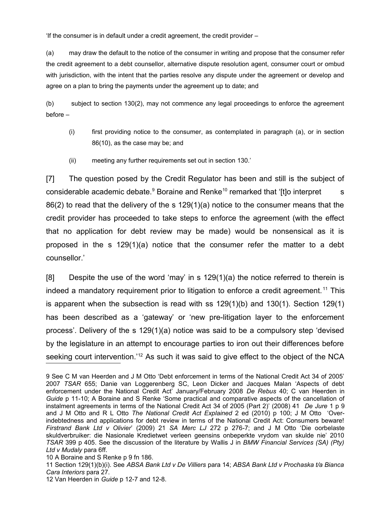'If the consumer is in default under a credit agreement, the credit provider –

(a) may draw the default to the notice of the consumer in writing and propose that the consumer refer the credit agreement to a debt counsellor, alternative dispute resolution agent, consumer court or ombud with jurisdiction, with the intent that the parties resolve any dispute under the agreement or develop and agree on a plan to bring the payments under the agreement up to date; and

(b) subject to section 130(2), may not commence any legal proceedings to enforce the agreement before –

- (i) first providing notice to the consumer, as contemplated in paragraph (a), or in section 86(10), as the case may be; and
- (ii) meeting any further requirements set out in section 130.'

[7] The question posed by the Credit Regulator has been and still is the subject of considerable academic debate.<sup>[9](#page-3-0)</sup> Boraine and Renke<sup>[10](#page-3-1)</sup> remarked that '[t]o interpret s 86(2) to read that the delivery of the s 129(1)(a) notice to the consumer means that the credit provider has proceeded to take steps to enforce the agreement (with the effect that no application for debt review may be made) would be nonsensical as it is proposed in the s 129(1)(a) notice that the consumer refer the matter to a debt counsellor.'

[8] Despite the use of the word 'may' in s 129(1)(a) the notice referred to therein is indeed a mandatory requirement prior to litigation to enforce a credit agreement.<sup>[11](#page-3-2)</sup> This is apparent when the subsection is read with ss 129(1)(b) and 130(1). Section 129(1) has been described as a 'gateway' or 'new pre-litigation layer to the enforcement process'. Delivery of the s 129(1)(a) notice was said to be a compulsory step 'devised by the legislature in an attempt to encourage parties to iron out their differences before seeking court intervention.<sup>[12](#page-3-3)</sup> As such it was said to give effect to the object of the NCA

<span id="page-3-0"></span><sup>9</sup> See C M van Heerden and J M Otto 'Debt enforcement in terms of the National Credit Act 34 of 2005' 2007 *TSAR* 655; Danie van Loggerenberg SC, Leon Dicker and Jacques Malan 'Aspects of debt enforcement under the National Credit Act' January/February 2008 *De Rebus* 40; C van Heerden in *Guide* p 11-10; A Boraine and S Renke 'Some practical and comparative aspects of the cancellation of instalment agreements in terms of the National Credit Act 34 of 2005 (Part 2)' (2008) 41 *De Jure* 1 p 9 and J M Otto and R L Otto *The National Credit Act Explained* 2 ed (2010) p 100; J M Otto 'Overindebtedness and applications for debt review in terms of the National Credit Act: Consumers beware! *Firstrand Bank Ltd v Olivier*' (2009) 21 *SA Merc LJ* 272 p 276-7; and J M Otto 'Die oorbelaste skuldverbruiker: die Nasionale Kredietwet verleen geensins onbeperkte vrydom van skulde nie' 2010 *TSAR* 399 p 405. See the discussion of the literature by Wallis J in *BMW Financial Services (SA) (Pty) Ltd v Mudaly* para 6ff.

<span id="page-3-1"></span><sup>10</sup> A Boraine and S Renke p 9 fn 186.

<span id="page-3-2"></span><sup>11</sup> Section 129(1)(b)(i). See *ABSA Bank Ltd v De Villiers* para 14; *ABSA Bank Ltd v Prochaska t/a Bianca Cara Interiors* para 27.

<span id="page-3-3"></span><sup>12</sup> Van Heerden in *Guide* p 12-7 and 12-8.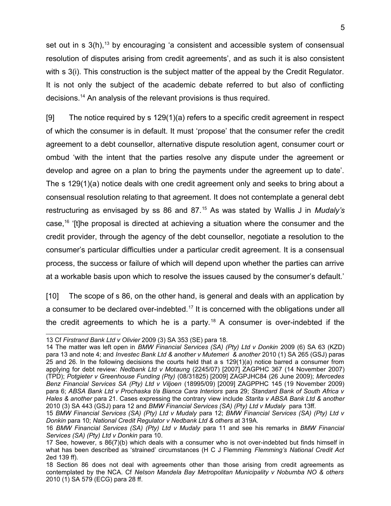set out in  $s$  3(h),  $^{13}$  $^{13}$  $^{13}$  by encouraging 'a consistent and accessible system of consensual resolution of disputes arising from credit agreements', and as such it is also consistent with s 3(i). This construction is the subject matter of the appeal by the Credit Regulator. It is not only the subject of the academic debate referred to but also of conflicting decisions.[14](#page-4-1) An analysis of the relevant provisions is thus required.

[9] The notice required by s 129(1)(a) refers to a specific credit agreement in respect of which the consumer is in default. It must 'propose' that the consumer refer the credit agreement to a debt counsellor, alternative dispute resolution agent, consumer court or ombud 'with the intent that the parties resolve any dispute under the agreement or develop and agree on a plan to bring the payments under the agreement up to date'. The s 129(1)(a) notice deals with one credit agreement only and seeks to bring about a consensual resolution relating to that agreement. It does not contemplate a general debt restructuring as envisaged by ss 86 and 87.[15](#page-4-2) As was stated by Wallis J in *Mudaly's* case,[16](#page-4-3) '[t]he proposal is directed at achieving a situation where the consumer and the credit provider, through the agency of the debt counsellor, negotiate a resolution to the consumer's particular difficulties under a particular credit agreement. It is a consensual process, the success or failure of which will depend upon whether the parties can arrive at a workable basis upon which to resolve the issues caused by the consumer's default.'

[10] The scope of s 86, on the other hand, is general and deals with an application by a consumer to be declared over-indebted.<sup>[17](#page-4-4)</sup> It is concerned with the obligations under all the credit agreements to which he is a party.<sup>[18](#page-4-5)</sup> A consumer is over-indebted if the

<span id="page-4-0"></span><sup>13</sup> Cf *Firstrand Bank Ltd v Olivier* 2009 (3) SA 353 (SE) para 18.

<span id="page-4-1"></span><sup>14</sup> The matter was left open in *BMW Financial Services (SA) (Pty) Ltd v Donkin* 2009 (6) SA 63 (KZD) para 13 and note 4; and *Investec Bank Ltd & another v Mutemeri & another* 2010 (1) SA 265 (GSJ) paras 25 and 26. In the following decisions the courts held that a s 129(1)(a) notice barred a consumer from applying for debt review: *Nedbank Ltd v Motaung* (2245/07) [2007] ZAGPHC 367 (14 November 2007) (TPD); *Potgieter v Greenhouse Funding (Pty)* (08/31825) [2009] ZAGPJHC84 (26 June 2009); *Mercedes Benz Financial Services SA (Pty) Ltd v Viljoen* (18995/09) [2009] ZAGPPHC 145 (19 November 2009) para 6; *ABSA Bank Ltd v Prochaska t/a Bianca Cara Interiors* para 29; *Standard Bank of South Africa v Hales & another* para 21. Cases expressing the contrary view include *Starita v ABSA Bank Ltd & another* 2010 (3) SA 443 (GSJ) para 12 and *BMW Financial Services (SA) (Pty) Ltd v Mudaly* para 13ff.

<span id="page-4-2"></span><sup>15</sup> *BMW Financial Services (SA) (Pty) Ltd v Mudaly* para 12; *BMW Financial Services (SA) (Pty) Ltd v Donkin* para 10; *National Credit Regulator v Nedbank Ltd & others* at 319A.

<span id="page-4-3"></span><sup>16</sup> *BMW Financial Services (SA) (Pty) Ltd v Mudaly* para 11 and see his remarks in *BMW Financial Services (SA) (Pty) Ltd v Donkin* para 10.

<span id="page-4-4"></span><sup>17</sup> See, however, s 86(7)(b) which deals with a consumer who is not over-indebted but finds himself in what has been described as 'strained' circumstances (H C J Flemming *Flemming's National Credit Act* 2ed 139 ff).

<span id="page-4-5"></span><sup>18</sup> Section 86 does not deal with agreements other than those arising from credit agreements as contemplated by the NCA. Cf *Nelson Mandela Bay Metropolitan Municipality v Nobumba NO & others* 2010 (1) SA 579 (ECG) para 28 ff.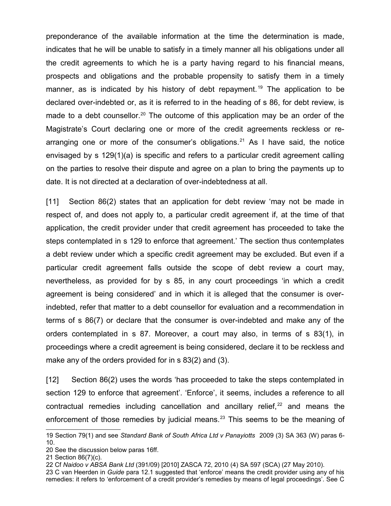preponderance of the available information at the time the determination is made, indicates that he will be unable to satisfy in a timely manner all his obligations under all the credit agreements to which he is a party having regard to his financial means, prospects and obligations and the probable propensity to satisfy them in a timely manner, as is indicated by his history of debt repayment.<sup>[19](#page-5-0)</sup> The application to be declared over-indebted or, as it is referred to in the heading of s 86, for debt review, is made to a debt counsellor.<sup>[20](#page-5-1)</sup> The outcome of this application may be an order of the Magistrate's Court declaring one or more of the credit agreements reckless or re-arranging one or more of the consumer's obligations.<sup>[21](#page-5-2)</sup> As I have said, the notice envisaged by s 129(1)(a) is specific and refers to a particular credit agreement calling on the parties to resolve their dispute and agree on a plan to bring the payments up to date. It is not directed at a declaration of over-indebtedness at all.

[11] Section 86(2) states that an application for debt review 'may not be made in respect of, and does not apply to, a particular credit agreement if, at the time of that application, the credit provider under that credit agreement has proceeded to take the steps contemplated in s 129 to enforce that agreement.' The section thus contemplates a debt review under which a specific credit agreement may be excluded. But even if a particular credit agreement falls outside the scope of debt review a court may, nevertheless, as provided for by s 85, in any court proceedings 'in which a credit agreement is being considered' and in which it is alleged that the consumer is overindebted, refer that matter to a debt counsellor for evaluation and a recommendation in terms of s 86(7) or declare that the consumer is over-indebted and make any of the orders contemplated in s 87. Moreover, a court may also, in terms of s 83(1), in proceedings where a credit agreement is being considered, declare it to be reckless and make any of the orders provided for in s 83(2) and (3).

[12] Section 86(2) uses the words 'has proceeded to take the steps contemplated in section 129 to enforce that agreement'. 'Enforce', it seems, includes a reference to all contractual remedies including cancellation and ancillary relief, $22$  and means the enforcement of those remedies by judicial means.<sup>[23](#page-5-4)</sup> This seems to be the meaning of

<span id="page-5-0"></span><sup>19</sup> Section 79(1) and see *Standard Bank of South Africa Ltd v Panayiotts* 2009 (3) SA 363 (W) paras 6- 10.

<span id="page-5-1"></span><sup>20</sup> See the discussion below paras 16ff.

<span id="page-5-2"></span><sup>21</sup> Section 86(7)(c).

<span id="page-5-3"></span><sup>22</sup> Cf *Naidoo v ABSA Bank Ltd* (391/09) [2010] ZASCA 72, 2010 (4) SA 597 (SCA) (27 May 2010).

<span id="page-5-4"></span><sup>23</sup> C van Heerden in *Guide* para 12.1 suggested that 'enforce' means the credit provider using any of his remedies: it refers to 'enforcement of a credit provider's remedies by means of legal proceedings'. See C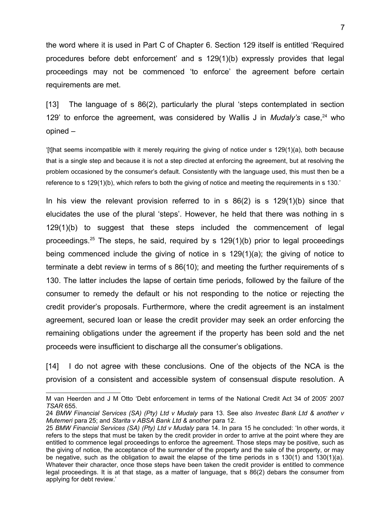the word where it is used in Part C of Chapter 6. Section 129 itself is entitled 'Required procedures before debt enforcement' and s 129(1)(b) expressly provides that legal proceedings may not be commenced 'to enforce' the agreement before certain requirements are met.

[13] The language of s 86(2), particularly the plural 'steps contemplated in section 129' to enforce the agreement, was considered by Wallis J in *Mudaly's* case, <sup>[24](#page-6-0)</sup> who opined –

'[t]hat seems incompatible with it merely requiring the giving of notice under s 129(1)(a), both because that is a single step and because it is not a step directed at enforcing the agreement, but at resolving the problem occasioned by the consumer's default. Consistently with the language used, this must then be a reference to s 129(1)(b), which refers to both the giving of notice and meeting the requirements in s 130.'

In his view the relevant provision referred to in s  $86(2)$  is s  $129(1)(b)$  since that elucidates the use of the plural 'steps'. However, he held that there was nothing in s 129(1)(b) to suggest that these steps included the commencement of legal proceedings.<sup>[25](#page-6-1)</sup> The steps, he said, required by s  $129(1)(b)$  prior to legal proceedings being commenced include the giving of notice in s 129(1)(a); the giving of notice to terminate a debt review in terms of s 86(10); and meeting the further requirements of s 130. The latter includes the lapse of certain time periods, followed by the failure of the consumer to remedy the default or his not responding to the notice or rejecting the credit provider's proposals. Furthermore, where the credit agreement is an instalment agreement, secured loan or lease the credit provider may seek an order enforcing the remaining obligations under the agreement if the property has been sold and the net proceeds were insufficient to discharge all the consumer's obligations.

[14] I do not agree with these conclusions. One of the objects of the NCA is the provision of a consistent and accessible system of consensual dispute resolution. A

M van Heerden and J M Otto 'Debt enforcement in terms of the National Credit Act 34 of 2005' 2007 *TSAR* 655.

<span id="page-6-0"></span><sup>24</sup> *BMW Financial Services (SA) (Pty) Ltd v Mudaly* para 13. See also *Investec Bank Ltd & another v Mutemeri* para 25; and *Starita v ABSA Bank Ltd & another* para 12.

<span id="page-6-1"></span><sup>25</sup> *BMW Financial Services (SA) (Pty) Ltd v Mudaly* para 14. In para 15 he concluded: 'In other words, it refers to the steps that must be taken by the credit provider in order to arrive at the point where they are entitled to commence legal proceedings to enforce the agreement. Those steps may be positive, such as the giving of notice, the acceptance of the surrender of the property and the sale of the property, or may be negative, such as the obligation to await the elapse of the time periods in s 130(1) and 130(1)(a). Whatever their character, once those steps have been taken the credit provider is entitled to commence legal proceedings. It is at that stage, as a matter of language, that s 86(2) debars the consumer from applying for debt review.'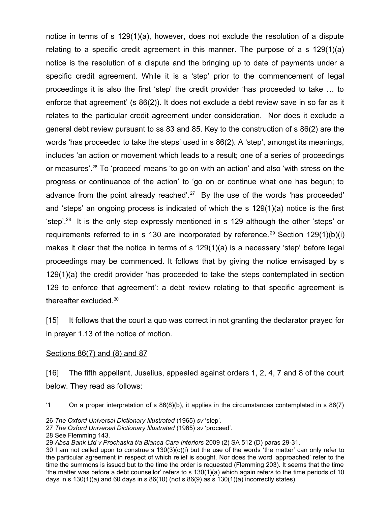notice in terms of s 129(1)(a), however, does not exclude the resolution of a dispute relating to a specific credit agreement in this manner. The purpose of a s 129(1)(a) notice is the resolution of a dispute and the bringing up to date of payments under a specific credit agreement. While it is a 'step' prior to the commencement of legal proceedings it is also the first 'step' the credit provider 'has proceeded to take … to enforce that agreement' (s 86(2)). It does not exclude a debt review save in so far as it relates to the particular credit agreement under consideration. Nor does it exclude a general debt review pursuant to ss 83 and 85. Key to the construction of s 86(2) are the words 'has proceeded to take the steps' used in s 86(2). A 'step', amongst its meanings, includes 'an action or movement which leads to a result; one of a series of proceedings or measures'.[26](#page-7-0) To 'proceed' means 'to go on with an action' and also 'with stress on the progress or continuance of the action' to 'go on or continue what one has begun; to advance from the point already reached'.<sup>[27](#page-7-1)</sup> By the use of the words 'has proceeded' and 'steps' an ongoing process is indicated of which the s 129(1)(a) notice is the first 'step'.[28](#page-7-2) It is the only step expressly mentioned in s 129 although the other 'steps' or requirements referred to in s 130 are incorporated by reference.<sup>[29](#page-7-3)</sup> Section 129(1)(b)(i) makes it clear that the notice in terms of s 129(1)(a) is a necessary 'step' before legal proceedings may be commenced. It follows that by giving the notice envisaged by s 129(1)(a) the credit provider 'has proceeded to take the steps contemplated in section 129 to enforce that agreement': a debt review relating to that specific agreement is thereafter excluded.[30](#page-7-4)

[15] It follows that the court a quo was correct in not granting the declarator prayed for in prayer 1.13 of the notice of motion.

### Sections 86(7) and (8) and 87

[16] The fifth appellant, Juselius, appealed against orders 1, 2, 4, 7 and 8 of the court below. They read as follows:

'1 On a proper interpretation of s 86(8)(b), it applies in the circumstances contemplated in s 86(7)

<span id="page-7-0"></span><sup>26</sup> *The Oxford Universal Dictionary Illustrated* (1965) *sv* 'step'.

<span id="page-7-1"></span><sup>27</sup> *The Oxford Universal Dictionary Illustrated* (1965) *sv* 'proceed'.

<span id="page-7-2"></span><sup>28</sup> See Flemming 143.

<span id="page-7-3"></span><sup>29</sup> *Absa Bank Ltd v Prochaska t/a Bianca Cara Interiors* 2009 (2) SA 512 (D) paras 29-31.

<span id="page-7-4"></span><sup>30</sup> I am not called upon to construe s 130(3)(c)(i) but the use of the words 'the matter' can only refer to the particular agreement in respect of which relief is sought. Nor does the word 'approached' refer to the time the summons is issued but to the time the order is requested (Flemming 203). It seems that the time 'the matter was before a debt counsellor' refers to s 130(1)(a) which again refers to the time periods of 10 days in s  $130(1)(a)$  and 60 days in s  $86(10)$  (not s  $86(9)$  as s  $130(1)(a)$  incorrectly states).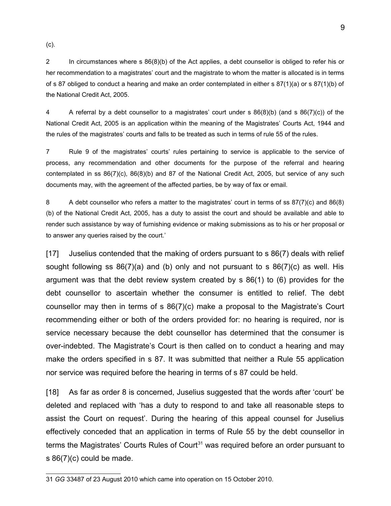(c).

2 In circumstances where s 86(8)(b) of the Act applies, a debt counsellor is obliged to refer his or her recommendation to a magistrates' court and the magistrate to whom the matter is allocated is in terms of s 87 obliged to conduct a hearing and make an order contemplated in either s  $87(1)(a)$  or s  $87(1)(b)$  of the National Credit Act, 2005.

4 A referral by a debt counsellor to a magistrates' court under s 86(8)(b) (and s 86(7)(c)) of the National Credit Act, 2005 is an application within the meaning of the Magistrates' Courts Act, 1944 and the rules of the magistrates' courts and falls to be treated as such in terms of rule 55 of the rules.

7 Rule 9 of the magistrates' courts' rules pertaining to service is applicable to the service of process, any recommendation and other documents for the purpose of the referral and hearing contemplated in ss 86(7)(c), 86(8)(b) and 87 of the National Credit Act, 2005, but service of any such documents may, with the agreement of the affected parties, be by way of fax or email.

8 A debt counsellor who refers a matter to the magistrates' court in terms of ss 87(7)(c) and 86(8) (b) of the National Credit Act, 2005, has a duty to assist the court and should be available and able to render such assistance by way of furnishing evidence or making submissions as to his or her proposal or to answer any queries raised by the court.'

[17] Juselius contended that the making of orders pursuant to s 86(7) deals with relief sought following ss  $86(7)(a)$  and (b) only and not pursuant to s  $86(7)(c)$  as well. His argument was that the debt review system created by s 86(1) to (6) provides for the debt counsellor to ascertain whether the consumer is entitled to relief. The debt counsellor may then in terms of s 86(7)(c) make a proposal to the Magistrate's Court recommending either or both of the orders provided for: no hearing is required, nor is service necessary because the debt counsellor has determined that the consumer is over-indebted. The Magistrate's Court is then called on to conduct a hearing and may make the orders specified in s 87. It was submitted that neither a Rule 55 application nor service was required before the hearing in terms of s 87 could be held.

[18] As far as order 8 is concerned, Juselius suggested that the words after 'court' be deleted and replaced with 'has a duty to respond to and take all reasonable steps to assist the Court on request'. During the hearing of this appeal counsel for Juselius effectively conceded that an application in terms of Rule 55 by the debt counsellor in terms the Magistrates' Courts Rules of Court<sup>[31](#page-8-0)</sup> was required before an order pursuant to s 86(7)(c) could be made.

<span id="page-8-0"></span><sup>31</sup> *GG* 33487 of 23 August 2010 which came into operation on 15 October 2010.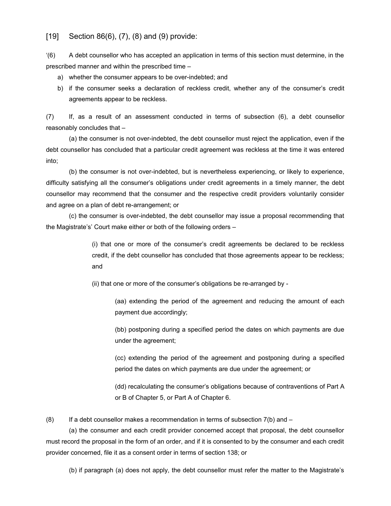#### [19] Section 86(6), (7), (8) and (9) provide:

'(6) A debt counsellor who has accepted an application in terms of this section must determine, in the prescribed manner and within the prescribed time –

- a) whether the consumer appears to be over-indebted; and
- b) if the consumer seeks a declaration of reckless credit, whether any of the consumer's credit agreements appear to be reckless.

(7) If, as a result of an assessment conducted in terms of subsection (6), a debt counsellor reasonably concludes that –

(a) the consumer is not over-indebted, the debt counsellor must reject the application, even if the debt counsellor has concluded that a particular credit agreement was reckless at the time it was entered into;

(b) the consumer is not over-indebted, but is nevertheless experiencing, or likely to experience, difficulty satisfying all the consumer's obligations under credit agreements in a timely manner, the debt counsellor may recommend that the consumer and the respective credit providers voluntarily consider and agree on a plan of debt re-arrangement; or

(c) the consumer is over-indebted, the debt counsellor may issue a proposal recommending that the Magistrate's' Court make either or both of the following orders –

> (i) that one or more of the consumer's credit agreements be declared to be reckless credit, if the debt counsellor has concluded that those agreements appear to be reckless; and

(ii) that one or more of the consumer's obligations be re-arranged by -

(aa) extending the period of the agreement and reducing the amount of each payment due accordingly;

(bb) postponing during a specified period the dates on which payments are due under the agreement;

(cc) extending the period of the agreement and postponing during a specified period the dates on which payments are due under the agreement; or

(dd) recalculating the consumer's obligations because of contraventions of Part A or B of Chapter 5, or Part A of Chapter 6.

 $(8)$  If a debt counsellor makes a recommendation in terms of subsection  $7(b)$  and  $-$ 

(a) the consumer and each credit provider concerned accept that proposal, the debt counsellor must record the proposal in the form of an order, and if it is consented to by the consumer and each credit provider concerned, file it as a consent order in terms of section 138; or

(b) if paragraph (a) does not apply, the debt counsellor must refer the matter to the Magistrate's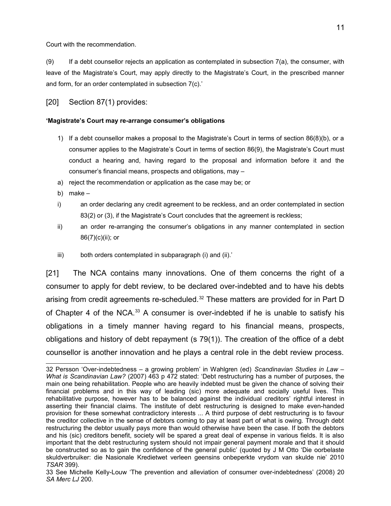Court with the recommendation.

(9) If a debt counsellor rejects an application as contemplated in subsection 7(a), the consumer, with leave of the Magistrate's Court, may apply directly to the Magistrate's Court, in the prescribed manner and form, for an order contemplated in subsection 7(c).'

[20] Section 87(1) provides:

#### **'Magistrate's Court may re-arrange consumer's obligations**

- 1) If a debt counsellor makes a proposal to the Magistrate's Court in terms of section 86(8)(b), or a consumer applies to the Magistrate's Court in terms of section 86(9), the Magistrate's Court must conduct a hearing and, having regard to the proposal and information before it and the consumer's financial means, prospects and obligations, may –
- a) reject the recommendation or application as the case may be; or
- b) make –
- i) an order declaring any credit agreement to be reckless, and an order contemplated in section 83(2) or (3), if the Magistrate's Court concludes that the agreement is reckless;
- ii) an order re-arranging the consumer's obligations in any manner contemplated in section 86(7)(c)(ii); or
- iii) both orders contemplated in subparagraph (i) and (ii).'

[21] The NCA contains many innovations. One of them concerns the right of a consumer to apply for debt review, to be declared over-indebted and to have his debts arising from credit agreements re-scheduled.<sup>[32](#page-10-0)</sup> These matters are provided for in Part D of Chapter 4 of the NCA.<sup>[33](#page-10-1)</sup> A consumer is over-indebted if he is unable to satisfy his obligations in a timely manner having regard to his financial means, prospects, obligations and history of debt repayment (s 79(1)). The creation of the office of a debt counsellor is another innovation and he plays a central role in the debt review process.

<span id="page-10-0"></span><sup>32</sup> Persson 'Over-indebtedness – a growing problem' in Wahlgren (ed) *Scandinavian Studies in Law – What is Scandinavian Law?* (2007) 463 p 472 stated: 'Debt restructuring has a number of purposes, the main one being rehabilitation. People who are heavily indebted must be given the chance of solving their financial problems and in this way of leading (sic) more adequate and socially useful lives. This rehabilitative purpose, however has to be balanced against the individual creditors' rightful interest in asserting their financial claims. The institute of debt restructuring is designed to make even-handed provision for these somewhat contradictory interests ... A third purpose of debt restructuring is to favour the creditor collective in the sense of debtors coming to pay at least part of what is owing. Through debt restructuring the debtor usually pays more than would otherwise have been the case. If both the debtors and his (sic) creditors benefit, society will be spared a great deal of expense in various fields. It is also important that the debt restructuring system should not impair general payment morale and that it should be constructed so as to gain the confidence of the general public' (quoted by J M Otto 'Die oorbelaste skuldverbruiker: die Nasionale Kredietwet verleen geensins onbeperkte vrydom van skulde nie' 2010 *TSAR* 399).

<span id="page-10-1"></span><sup>33</sup> See Michelle Kelly-Louw 'The prevention and alleviation of consumer over-indebtedness' (2008) 20 *SA Merc LJ* 200.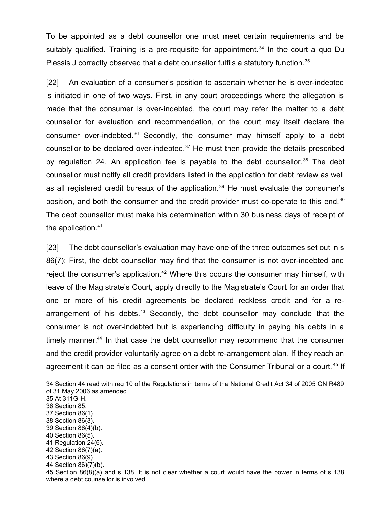To be appointed as a debt counsellor one must meet certain requirements and be suitably qualified. Training is a pre-requisite for appointment.<sup>[34](#page-11-0)</sup> In the court a quo Du Plessis J correctly observed that a debt counsellor fulfils a statutory function.<sup>[35](#page-11-1)</sup>

[22] An evaluation of a consumer's position to ascertain whether he is over-indebted is initiated in one of two ways. First, in any court proceedings where the allegation is made that the consumer is over-indebted, the court may refer the matter to a debt counsellor for evaluation and recommendation, or the court may itself declare the consumer over-indebted.<sup>[36](#page-11-2)</sup> Secondly, the consumer may himself apply to a debt counsellor to be declared over-indebted.[37](#page-11-3) He must then provide the details prescribed by regulation 24. An application fee is payable to the debt counsellor.<sup>[38](#page-11-4)</sup> The debt counsellor must notify all credit providers listed in the application for debt review as well as all registered credit bureaux of the application.<sup>[39](#page-11-5)</sup> He must evaluate the consumer's position, and both the consumer and the credit provider must co-operate to this end.<sup>[40](#page-11-6)</sup> The debt counsellor must make his determination within 30 business days of receipt of the application.<sup>[41](#page-11-7)</sup>

[23] The debt counsellor's evaluation may have one of the three outcomes set out in s 86(7): First, the debt counsellor may find that the consumer is not over-indebted and reject the consumer's application.<sup>[42](#page-11-8)</sup> Where this occurs the consumer may himself, with leave of the Magistrate's Court, apply directly to the Magistrate's Court for an order that one or more of his credit agreements be declared reckless credit and for a re-arrangement of his debts.<sup>[43](#page-11-9)</sup> Secondly, the debt counsellor may conclude that the consumer is not over-indebted but is experiencing difficulty in paying his debts in a timely manner.<sup>[44](#page-11-10)</sup> In that case the debt counsellor may recommend that the consumer and the credit provider voluntarily agree on a debt re-arrangement plan. If they reach an agreement it can be filed as a consent order with the Consumer Tribunal or a court.<sup>[45](#page-11-11)</sup> If

- <span id="page-11-4"></span>38 Section 86(3).
- <span id="page-11-5"></span>39 Section 86(4)(b).
- <span id="page-11-6"></span>40 Section 86(5).
- <span id="page-11-7"></span>41 Regulation 24(6). 42 Section 86(7)(a).
- <span id="page-11-9"></span><span id="page-11-8"></span>43 Section 86(9).
- 
- <span id="page-11-10"></span>44 Section 86)(7)(b).

<span id="page-11-0"></span><sup>34</sup> Section 44 read with reg 10 of the Regulations in terms of the National Credit Act 34 of 2005 GN R489 of 31 May 2006 as amended.

<span id="page-11-1"></span><sup>35</sup> At 311G-H.

<span id="page-11-2"></span><sup>36</sup> Section 85.

<span id="page-11-3"></span><sup>37</sup> Section 86(1).

<span id="page-11-11"></span><sup>45</sup> Section 86(8)(a) and s 138. It is not clear whether a court would have the power in terms of s 138 where a debt counsellor is involved.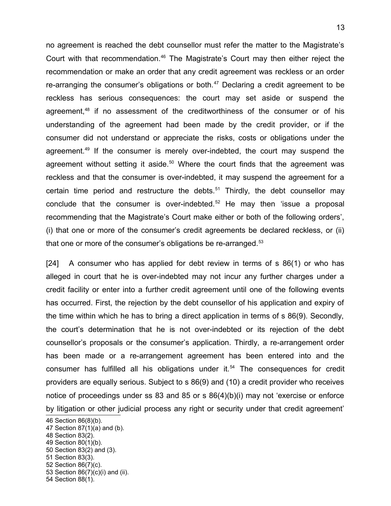no agreement is reached the debt counsellor must refer the matter to the Magistrate's Court with that recommendation.<sup>[46](#page-12-0)</sup> The Magistrate's Court may then either reject the recommendation or make an order that any credit agreement was reckless or an order re-arranging the consumer's obligations or both. $47$  Declaring a credit agreement to be reckless has serious consequences: the court may set aside or suspend the agreement,<sup>[48](#page-12-2)</sup> if no assessment of the creditworthiness of the consumer or of his understanding of the agreement had been made by the credit provider, or if the consumer did not understand or appreciate the risks, costs or obligations under the agreement.[49](#page-12-3) If the consumer is merely over-indebted, the court may suspend the agreement without setting it aside.<sup>[50](#page-12-4)</sup> Where the court finds that the agreement was reckless and that the consumer is over-indebted, it may suspend the agreement for a certain time period and restructure the debts.<sup>[51](#page-12-5)</sup> Thirdly, the debt counsellor may conclude that the consumer is over-indebted.<sup>[52](#page-12-6)</sup> He may then 'issue a proposal recommending that the Magistrate's Court make either or both of the following orders', (i) that one or more of the consumer's credit agreements be declared reckless, or (ii) that one or more of the consumer's obligations be re-arranged.<sup>[53](#page-12-7)</sup>

[24] A consumer who has applied for debt review in terms of s 86(1) or who has alleged in court that he is over-indebted may not incur any further charges under a credit facility or enter into a further credit agreement until one of the following events has occurred. First, the rejection by the debt counsellor of his application and expiry of the time within which he has to bring a direct application in terms of s 86(9). Secondly, the court's determination that he is not over-indebted or its rejection of the debt counsellor's proposals or the consumer's application. Thirdly, a re-arrangement order has been made or a re-arrangement agreement has been entered into and the consumer has fulfilled all his obligations under it.<sup>[54](#page-12-8)</sup> The consequences for credit providers are equally serious. Subject to s 86(9) and (10) a credit provider who receives notice of proceedings under ss 83 and 85 or s 86(4)(b)(i) may not 'exercise or enforce by litigation or other judicial process any right or security under that credit agreement'

<span id="page-12-2"></span><span id="page-12-1"></span><span id="page-12-0"></span><sup>46</sup> Section 86(8)(b). 47 Section 87(1)(a) and (b). 48 Section 83(2). 49 Section 80(1)(b). 50 Section 83(2) and (3). 51 Section 83(3).

<span id="page-12-5"></span><span id="page-12-4"></span><span id="page-12-3"></span>

<span id="page-12-6"></span><sup>52</sup> Section 86(7)(c).

<span id="page-12-7"></span><sup>53</sup> Section 86(7)(c)(i) and (ii).

<span id="page-12-8"></span><sup>54</sup> Section 88(1).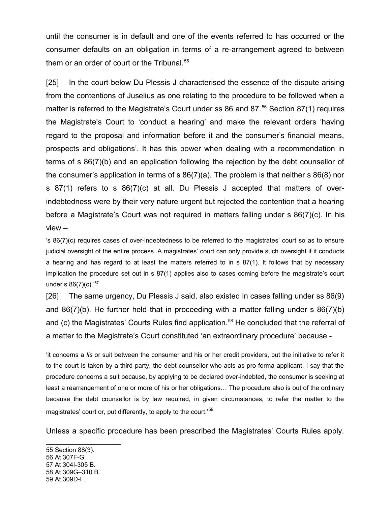until the consumer is in default and one of the events referred to has occurred or the consumer defaults on an obligation in terms of a re-arrangement agreed to between them or an order of court or the Tribunal.<sup>[55](#page-13-0)</sup>

[25] In the court below Du Plessis J characterised the essence of the dispute arising from the contentions of Juselius as one relating to the procedure to be followed when a matter is referred to the Magistrate's Court under ss 86 and 87.<sup>[56](#page-13-1)</sup> Section 87(1) requires the Magistrate's Court to 'conduct a hearing' and make the relevant orders 'having regard to the proposal and information before it and the consumer's financial means, prospects and obligations'. It has this power when dealing with a recommendation in terms of s 86(7)(b) and an application following the rejection by the debt counsellor of the consumer's application in terms of s 86(7)(a). The problem is that neither s 86(8) nor s 87(1) refers to s 86(7)(c) at all. Du Plessis J accepted that matters of overindebtedness were by their very nature urgent but rejected the contention that a hearing before a Magistrate's Court was not required in matters falling under s 86(7)(c). In his view –

's 86(7)(c) requires cases of over-indebtedness to be referred to the magistrates' court so as to ensure judicial oversight of the entire process. A magistrates' court can only provide such oversight if it conducts a hearing and has regard to at least the matters referred to in s 87(1). It follows that by necessary implication the procedure set out in s 87(1) applies also to cases coming before the magistrate's court under s 86(7)(c).'[57](#page-13-2)

[26] The same urgency, Du Plessis J said, also existed in cases falling under ss 86(9) and 86(7)(b). He further held that in proceeding with a matter falling under s 86(7)(b) and (c) the Magistrates' Courts Rules find application.<sup>[58](#page-13-3)</sup> He concluded that the referral of a matter to the Magistrate's Court constituted 'an extraordinary procedure' because -

'it concerns a *lis* or suit between the consumer and his or her credit providers, but the initiative to refer it to the court is taken by a third party, the debt counsellor who acts as pro forma applicant. I say that the procedure concerns a suit because, by applying to be declared over-indebted, the consumer is seeking at least a rearrangement of one or more of his or her obligations… The procedure also is out of the ordinary because the debt counsellor is by law required, in given circumstances, to refer the matter to the magistrates' court or, put differently, to apply to the court.<sup>[59](#page-13-4)</sup>

Unless a specific procedure has been prescribed the Magistrates' Courts Rules apply.

<span id="page-13-4"></span><span id="page-13-3"></span><span id="page-13-2"></span><span id="page-13-1"></span><span id="page-13-0"></span>55 Section 88(3). 56 At 307F-G. 57 At 304I-305 B. 58 At 309G–310 B. 59 At 309D-F.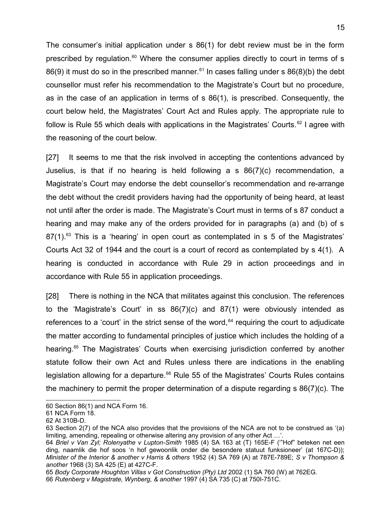The consumer's initial application under s 86(1) for debt review must be in the form prescribed by regulation.<sup>[60](#page-14-0)</sup> Where the consumer applies directly to court in terms of s 86(9) it must do so in the prescribed manner.<sup>[61](#page-14-1)</sup> In cases falling under s  $86(8)(b)$  the debt counsellor must refer his recommendation to the Magistrate's Court but no procedure, as in the case of an application in terms of s 86(1), is prescribed. Consequently, the court below held, the Magistrates' Court Act and Rules apply. The appropriate rule to follow is Rule 55 which deals with applications in the Magistrates' Courts.<sup>[62](#page-14-2)</sup> I agree with the reasoning of the court below.

[27] It seems to me that the risk involved in accepting the contentions advanced by Juselius, is that if no hearing is held following a s 86(7)(c) recommendation, a Magistrate's Court may endorse the debt counsellor's recommendation and re-arrange the debt without the credit providers having had the opportunity of being heard, at least not until after the order is made. The Magistrate's Court must in terms of s 87 conduct a hearing and may make any of the orders provided for in paragraphs (a) and (b) of s  $87(1)$ .<sup>[63](#page-14-3)</sup> This is a 'hearing' in open court as contemplated in s 5 of the Magistrates' Courts Act 32 of 1944 and the court is a court of record as contemplated by s 4(1). A hearing is conducted in accordance with Rule 29 in action proceedings and in accordance with Rule 55 in application proceedings.

[28] There is nothing in the NCA that militates against this conclusion. The references to the 'Magistrate's Court' in ss 86(7)(c) and 87(1) were obviously intended as references to a 'court' in the strict sense of the word,  $64$  requiring the court to adjudicate the matter according to fundamental principles of justice which includes the holding of a hearing.<sup>[65](#page-14-5)</sup> The Magistrates' Courts when exercising jurisdiction conferred by another statute follow their own Act and Rules unless there are indications in the enabling legislation allowing for a departure.<sup>[66](#page-14-6)</sup> Rule 55 of the Magistrates' Courts Rules contains the machinery to permit the proper determination of a dispute regarding s 86(7)(c). The

<span id="page-14-0"></span><sup>60</sup> Section 86(1) and NCA Form 16.

<span id="page-14-1"></span><sup>61</sup> NCA Form 18.

<span id="page-14-2"></span><sup>62</sup> At 310B-D.

<span id="page-14-3"></span><sup>63</sup> Section 2(7) of the NCA also provides that the provisions of the NCA are not to be construed as '(a) limiting, amending, repealing or otherwise altering any provision of any other Act …'.

<span id="page-14-4"></span><sup>64</sup> *Briel v Van Zyl; Rolenyathe v Lupton-Smith* 1985 (4) SA 163 at (T) 165E-F ('"Hof" beteken net een ding, naamlik die hof soos 'n hof gewoonlik onder die besondere statuut funksioneer' (at 167C-D)); *Minister of the Interior & another v Harris & others* 1952 (4) SA 769 (A) at 787E-789E; *S v Thompson & another* 1968 (3) SA 425 (E) at 427C-F.

<span id="page-14-6"></span><span id="page-14-5"></span><sup>65</sup> *Body Corporate Houghton Villas v Got Construction (Pty) Ltd* 2002 (1) SA 760 (W) at 762EG. 66 *Rutenberg v Magistrate, Wynberg, & another* 1997 (4) SA 735 (C) at 750I-751C.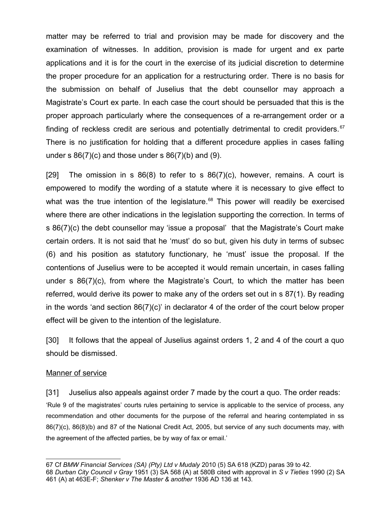matter may be referred to trial and provision may be made for discovery and the examination of witnesses. In addition, provision is made for urgent and ex parte applications and it is for the court in the exercise of its judicial discretion to determine the proper procedure for an application for a restructuring order. There is no basis for the submission on behalf of Juselius that the debt counsellor may approach a Magistrate's Court ex parte. In each case the court should be persuaded that this is the proper approach particularly where the consequences of a re-arrangement order or a finding of reckless credit are serious and potentially detrimental to credit providers.<sup>[67](#page-15-0)</sup> There is no justification for holding that a different procedure applies in cases falling under s  $86(7)(c)$  and those under s  $86(7)(b)$  and (9).

[29] The omission in s  $86(8)$  to refer to s  $86(7)(c)$ , however, remains. A court is empowered to modify the wording of a statute where it is necessary to give effect to what was the true intention of the legislature.<sup>[68](#page-15-1)</sup> This power will readily be exercised where there are other indications in the legislation supporting the correction. In terms of s 86(7)(c) the debt counsellor may 'issue a proposal' that the Magistrate's Court make certain orders. It is not said that he 'must' do so but, given his duty in terms of subsec (6) and his position as statutory functionary, he 'must' issue the proposal. If the contentions of Juselius were to be accepted it would remain uncertain, in cases falling under s 86(7)(c), from where the Magistrate's Court, to which the matter has been referred, would derive its power to make any of the orders set out in s 87(1). By reading in the words 'and section 86(7)(c)' in declarator 4 of the order of the court below proper effect will be given to the intention of the legislature.

[30] It follows that the appeal of Juselius against orders 1, 2 and 4 of the court a quo should be dismissed.

### Manner of service

[31] Juselius also appeals against order 7 made by the court a quo. The order reads: 'Rule 9 of the magistrates' courts rules pertaining to service is applicable to the service of process, any recommendation and other documents for the purpose of the referral and hearing contemplated in ss 86(7)(c), 86(8)(b) and 87 of the National Credit Act, 2005, but service of any such documents may, with the agreement of the affected parties, be by way of fax or email.'

<span id="page-15-1"></span><span id="page-15-0"></span><sup>67</sup> Cf *BMW Financial Services (SA) (Pty) Ltd v Mudaly* 2010 (5) SA 618 (KZD) paras 39 to 42. 68 *Durban City Council v Gray* 1951 (3) SA 568 (A) at 580B cited with approval in *S v Tieties* 1990 (2) SA 461 (A) at 463E-F; *Shenker v The Master & another* 1936 AD 136 at 143.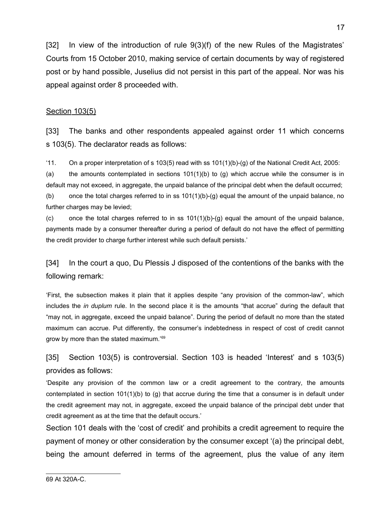[32] In view of the introduction of rule 9(3)(f) of the new Rules of the Magistrates' Courts from 15 October 2010, making service of certain documents by way of registered post or by hand possible, Juselius did not persist in this part of the appeal. Nor was his appeal against order 8 proceeded with.

### Section 103(5)

[33] The banks and other respondents appealed against order 11 which concerns s 103(5). The declarator reads as follows:

'11. On a proper interpretation of s 103(5) read with ss 101(1)(b)-(g) of the National Credit Act, 2005:

(a) the amounts contemplated in sections  $101(1)(b)$  to (g) which accrue while the consumer is in default may not exceed, in aggregate, the unpaid balance of the principal debt when the default occurred; (b) once the total charges referred to in ss  $101(1)(b)-(g)$  equal the amount of the unpaid balance, no further charges may be levied;

(c) once the total charges referred to in ss  $101(1)(b)$ -(g) equal the amount of the unpaid balance, payments made by a consumer thereafter during a period of default do not have the effect of permitting the credit provider to charge further interest while such default persists.'

[34] In the court a quo, Du Plessis J disposed of the contentions of the banks with the following remark:

'First, the subsection makes it plain that it applies despite "any provision of the common-law", which includes the *in duplum* rule. In the second place it is the amounts "that accrue" during the default that "may not, in aggregate, exceed the unpaid balance". During the period of default no more than the stated maximum can accrue. Put differently, the consumer's indebtedness in respect of cost of credit cannot grow by more than the stated maximum.'[69](#page-16-0)

## [35] Section 103(5) is controversial. Section 103 is headed 'Interest' and s 103(5) provides as follows:

'Despite any provision of the common law or a credit agreement to the contrary, the amounts contemplated in section  $101(1)(b)$  to (g) that accrue during the time that a consumer is in default under the credit agreement may not, in aggregate, exceed the unpaid balance of the principal debt under that credit agreement as at the time that the default occurs.'

<span id="page-16-0"></span>Section 101 deals with the 'cost of credit' and prohibits a credit agreement to require the payment of money or other consideration by the consumer except '(a) the principal debt, being the amount deferred in terms of the agreement, plus the value of any item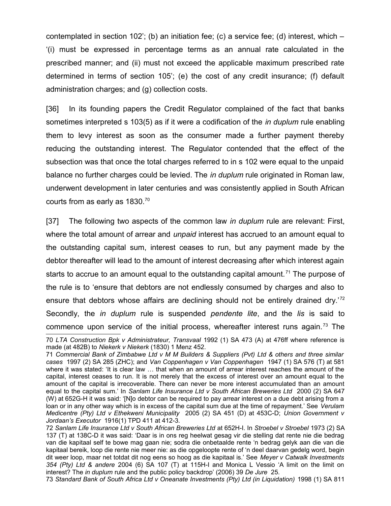contemplated in section 102'; (b) an initiation fee; (c) a service fee; (d) interest, which – '(i) must be expressed in percentage terms as an annual rate calculated in the prescribed manner; and (ii) must not exceed the applicable maximum prescribed rate determined in terms of section 105'; (e) the cost of any credit insurance; (f) default administration charges; and (g) collection costs.

[36] In its founding papers the Credit Regulator complained of the fact that banks sometimes interpreted s 103(5) as if it were a codification of the *in duplum* rule enabling them to levy interest as soon as the consumer made a further payment thereby reducing the outstanding interest. The Regulator contended that the effect of the subsection was that once the total charges referred to in s 102 were equal to the unpaid balance no further charges could be levied. The *in duplum* rule originated in Roman law, underwent development in later centuries and was consistently applied in South African courts from as early as 1830.[70](#page-17-0)

[37] The following two aspects of the common law *in duplum* rule are relevant: First, where the total amount of arrear and *unpaid* interest has accrued to an amount equal to the outstanding capital sum, interest ceases to run, but any payment made by the debtor thereafter will lead to the amount of interest decreasing after which interest again starts to accrue to an amount equal to the outstanding capital amount.<sup> $71$ </sup> The purpose of the rule is to 'ensure that debtors are not endlessly consumed by charges and also to ensure that debtors whose affairs are declining should not be entirely drained dry.<sup>[72](#page-17-2)</sup> Secondly, the *in duplum* rule is suspended *pendente lite*, and the *lis* is said to commence upon service of the initial process, whereafter interest runs again.<sup>[73](#page-17-3)</sup> The

<span id="page-17-3"></span>73 *Standard Bank of South Africa Ltd v Oneanate Investments (Pty) Ltd (in Liquidation)* 1998 (1) SA 811

<span id="page-17-0"></span><sup>70</sup> *LTA Construction Bpk v Administrateur, Transvaal* 1992 (1) SA 473 (A) at 476ff where reference is made (at 482B) to *Niekerk v Niekerk* (1830) 1 Menz 452.

<span id="page-17-1"></span><sup>71</sup> *Commercial Bank of Zimbabwe Ltd v M M Builders & Suppliers (Pvt) Ltd & others and three similar cases* 1997 (2) SA 285 (ZHC); and *Van Coppenhagen v Van Coppenhagen* 1947 (1) SA 576 (T) at 581 where it was stated: 'It is clear law … that when an amount of arrear interest reaches the amount of the capital, interest ceases to run. It is not merely that the excess of interest over an amount equal to the amount of the capital is irrecoverable. There can never be more interest accumulated than an amount equal to the capital sum.' In *Sanlam Life Insurance Ltd v South African Breweries Ltd* 2000 (2) SA 647 (W) at 652G-H it was said: '[N]o debtor can be required to pay arrear interest on a due debt arising from a loan or in any other way which is in excess of the capital sum due at the time of repayment.' See *Verulam Medicentre (Pty) Ltd v Ethekweni Municipality* 2005 (2) SA 451 (D) at 453C-D; *Union Government v Jordaan's Executor* 1916(1) TPD 411 at 412-3.

<span id="page-17-2"></span><sup>72</sup> *Sanlam Life Insurance Ltd v South African Breweries Ltd* at 652H-I. In *Stroebel v Stroebel* 1973 (2) SA 137 (T) at 138C-D it was said: 'Daar is in ons reg heelwat gesag vir die stelling dat rente nie die bedrag van die kapitaal self te bowe mag gaan nie; sodra die onbetaalde rente 'n bedrag gelyk aan die van die kapitaal bereik, loop die rente nie meer nie: as die opgeloopte rente of 'n deel daarvan gedelg word, begin dit weer loop, maar net totdat dit nog eens so hoog as die kapitaal is.' See *Meyer v Catwalk Investments 354 (Pty) Ltd & andere* 2004 (6) SA 107 (T) at 115H-I and Monica L Vessio 'A limit on the limit on interest? The *in duplum* rule and the public policy backdrop' (2006) 39 *De Jure* 25.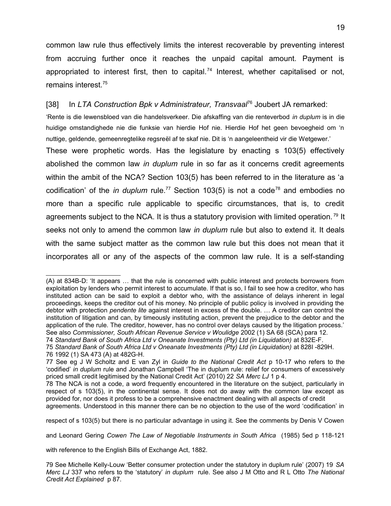common law rule thus effectively limits the interest recoverable by preventing interest from accruing further once it reaches the unpaid capital amount. Payment is appropriated to interest first, then to capital.<sup>[74](#page-18-0)</sup> Interest, whether capitalised or not, remains interest.[75](#page-18-1)

### [38] In *LTA Construction Bpk v Administrateur, Transvaal*[76](#page-18-2) Joubert JA remarked:

'Rente is die lewensbloed van die handelsverkeer. Die afskaffing van die renteverbod *in duplum* is in die huidige omstandighede nie die funksie van hierdie Hof nie. Hierdie Hof het geen bevoegheid om 'n nuttige, geldende, gemeenregtelike regsreël af te skaf nie. Dit is 'n aangeleentheid vir die Wetgewer.'

These were prophetic words. Has the legislature by enacting s 103(5) effectively abolished the common law *in duplum* rule in so far as it concerns credit agreements within the ambit of the NCA? Section 103(5) has been referred to in the literature as 'a codification' of the *in duplum* rule.<sup>[77](#page-18-3)</sup> Section 103(5) is not a code<sup>[78](#page-18-4)</sup> and embodies no more than a specific rule applicable to specific circumstances, that is, to credit agreements subject to the NCA. It is thus a statutory provision with limited operation.<sup>[79](#page-18-5)</sup> It seeks not only to amend the common law *in duplum* rule but also to extend it. It deals with the same subject matter as the common law rule but this does not mean that it incorporates all or any of the aspects of the common law rule. It is a self-standing

respect of s 103(5) but there is no particular advantage in using it. See the comments by Denis V Cowen

and Leonard Gering *Cowen The Law of Negotiable Instruments in South Africa* (1985) 5ed p 118-121

with reference to the English Bills of Exchange Act, 1882.

<sup>(</sup>A) at 834B-D: 'It appears … that the rule is concerned with public interest and protects borrowers from exploitation by lenders who permit interest to accumulate. If that is so, I fail to see how a creditor, who has instituted action can be said to exploit a debtor who, with the assistance of delays inherent in legal proceedings, keeps the creditor out of his money. No principle of public policy is involved in providing the debtor with protection *pendente lite* against interest in excess of the double. … A creditor can control the institution of litigation and can, by timeously instituting action, prevent the prejudice to the debtor and the application of the rule. The creditor, however, has no control over delays caused by the litigation process.' See also *Commissioner, South African Revenue Service v Woulidge* 2002 (1) SA 68 (SCA) para 12.

<span id="page-18-0"></span><sup>74</sup> *Standard Bank of South Africa Ltd v Oneanate Investments (Pty) Ltd (in Liquidation)* at 832E-F.

<span id="page-18-2"></span><span id="page-18-1"></span><sup>75</sup> Standard Bank of South Africa Ltd v Oneanate Investments (Pty) Ltd (in Liquidation) at 828I -829H. 76 1992 (1) SA 473 (A) at 482G-H.

<span id="page-18-3"></span><sup>77</sup> See eg J W Scholtz and E van Zyl in *Guide to the National Credit Act* p 10-17 who refers to the 'codified' *in duplum* rule and Jonathan Campbell 'The in duplum rule: relief for consumers of excessively priced small credit legitimised by the National Credit Act' (2010) 22 *SA Merc LJ* 1 p 4.

<span id="page-18-4"></span><sup>78</sup> The NCA is not a code, a word frequently encountered in the literature on the subject, particularly in respect of s 103(5), in the continental sense. It does not do away with the common law except as provided for, nor does it profess to be a comprehensive enactment dealing with all aspects of credit agreements. Understood in this manner there can be no objection to the use of the word 'codification' in

<span id="page-18-5"></span><sup>79</sup> See Michelle Kelly-Louw 'Better consumer protection under the statutory in duplum rule' (2007) 19 *SA Merc LJ* 337 who refers to the 'statutory' *in duplum* rule. See also J M Otto and R L Otto *The National Credit Act Explained* p 87.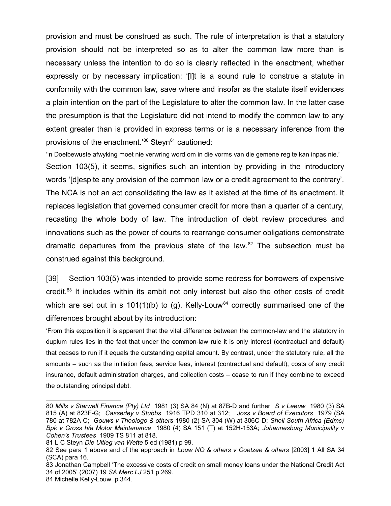provision and must be construed as such. The rule of interpretation is that a statutory provision should not be interpreted so as to alter the common law more than is necessary unless the intention to do so is clearly reflected in the enactment, whether expressly or by necessary implication: '[I]t is a sound rule to construe a statute in conformity with the common law, save where and insofar as the statute itself evidences a plain intention on the part of the Legislature to alter the common law. In the latter case the presumption is that the Legislature did not intend to modify the common law to any extent greater than is provided in express terms or is a necessary inference from the provisions of the enactment.<sup>[80](#page-19-0)</sup> Steyn<sup>[81](#page-19-1)</sup> cautioned:

''n Doelbewuste afwyking moet nie verwring word om in die vorms van die gemene reg te kan inpas nie.' Section 103(5), it seems, signifies such an intention by providing in the introductory words '[d]espite any provision of the common law or a credit agreement to the contrary'. The NCA is not an act consolidating the law as it existed at the time of its enactment. It replaces legislation that governed consumer credit for more than a quarter of a century, recasting the whole body of law. The introduction of debt review procedures and innovations such as the power of courts to rearrange consumer obligations demonstrate dramatic departures from the previous state of the law. $82$  The subsection must be construed against this background.

[39] Section 103(5) was intended to provide some redress for borrowers of expensive credit.<sup>[83](#page-19-3)</sup> It includes within its ambit not only interest but also the other costs of credit which are set out in s  $101(1)(b)$  to (g). Kelly-Louw<sup>[84](#page-19-4)</sup> correctly summarised one of the differences brought about by its introduction:

'From this exposition it is apparent that the vital difference between the common-law and the statutory in duplum rules lies in the fact that under the common-law rule it is only interest (contractual and default) that ceases to run if it equals the outstanding capital amount. By contrast, under the statutory rule, all the amounts – such as the initiation fees, service fees, interest (contractual and default), costs of any credit insurance, default administration charges, and collection costs – cease to run if they combine to exceed the outstanding principal debt.

<span id="page-19-0"></span><sup>80</sup> *Mills v Starwell Finance (Pty) Ltd* 1981 (3) SA 84 (N) at 87B-D and further *S v Leeuw* 1980 (3) SA 815 (A) at 823F-G; *Casserley v Stubbs* 1916 TPD 310 at 312; *Joss v Board of Executors* 1979 (SA 780 at 782A-C; *Gouws v Theologo & others* 1980 (2) SA 304 (W) at 306C-D; *Shell South Africa (Edms) Bpk v Gross h/a Motor Maintenance* 1980 (4) SA 151 (T) at 152H-153A; *Johannesburg Municipality v Cohen's Trustees* 1909 TS 811 at 818.

<span id="page-19-1"></span><sup>81</sup> L C Steyn *Die Uitleg van Wette* 5 ed (1981) p 99.

<span id="page-19-2"></span><sup>82</sup> See para 1 above and cf the approach in *Louw NO & others v Coetzee & others* [2003] 1 All SA 34 (SCA) para 16.

<span id="page-19-3"></span><sup>83</sup> Jonathan Campbell 'The excessive costs of credit on small money loans under the National Credit Act 34 of 2005' (2007) 19 *SA Merc LJ* 251 p 269.

<span id="page-19-4"></span><sup>84</sup> Michelle Kelly-Louw p 344.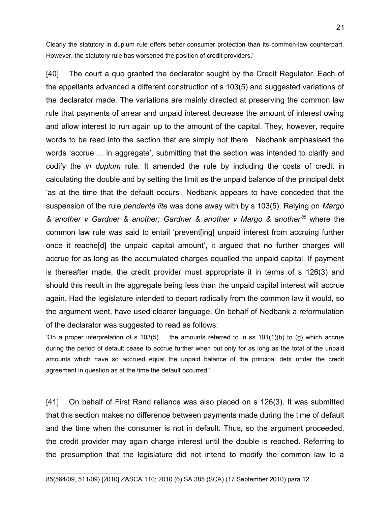Clearly the statutory in duplum rule offers better consumer protection than its common-law counterpart. However, the statutory rule has worsened the position of credit providers.'

[40] The court a quo granted the declarator sought by the Credit Regulator. Each of the appellants advanced a different construction of s 103(5) and suggested variations of the declarator made. The variations are mainly directed at preserving the common law rule that payments of arrear and unpaid interest decrease the amount of interest owing and allow interest to run again up to the amount of the capital. They, however, require words to be read into the section that are simply not there. Nedbank emphasised the words 'accrue ... in aggregate', submitting that the section was intended to clarify and codify the *in duplum* rule. It amended the rule by including the costs of credit in calculating the double and by setting the limit as the unpaid balance of the principal debt 'as at the time that the default occurs'. Nedbank appears to have conceded that the suspension of the rule *pendente lite* was done away with by s 103(5). Relying on *Margo & another v Gardner & another; Gardner & another v Margo & another [85](#page-20-0)* where the common law rule was said to entail 'prevent[ing] unpaid interest from accruing further once it reache[d] the unpaid capital amount', it argued that no further charges will accrue for as long as the accumulated charges equalled the unpaid capital. If payment is thereafter made, the credit provider must appropriate it in terms of s 126(3) and should this result in the aggregate being less than the unpaid capital interest will accrue again. Had the legislature intended to depart radically from the common law it would, so the argument went, have used clearer language. On behalf of Nedbank a reformulation of the declarator was suggested to read as follows:

'On a proper interpretation of s 103(5) ... the amounts referred to in ss 101(1)(b) to (g) which accrue during the period of default cease to accrue further when but only for as long as the total of the unpaid amounts which have so accrued equal the unpaid balance of the principal debt under the credit agreement in question as at the time the default occurred.'

<span id="page-20-0"></span>[41] On behalf of First Rand reliance was also placed on s 126(3). It was submitted that this section makes no difference between payments made during the time of default and the time when the consumer is not in default. Thus, so the argument proceeded, the credit provider may again charge interest until the double is reached. Referring to the presumption that the legislature did not intend to modify the common law to a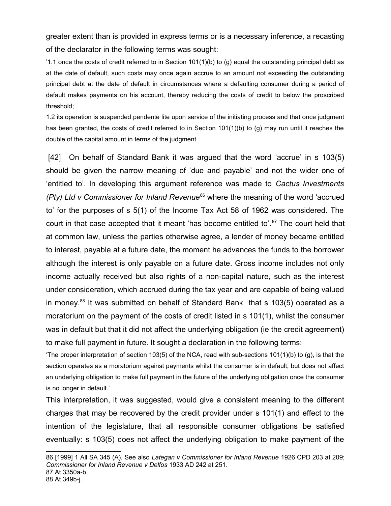greater extent than is provided in express terms or is a necessary inference, a recasting of the declarator in the following terms was sought:

 $1.1$  once the costs of credit referred to in Section  $101(1)(b)$  to (g) equal the outstanding principal debt as at the date of default, such costs may once again accrue to an amount not exceeding the outstanding principal debt at the date of default in circumstances where a defaulting consumer during a period of default makes payments on his account, thereby reducing the costs of credit to below the proscribed threshold;

1.2 its operation is suspended pendente lite upon service of the initiating process and that once judgment has been granted, the costs of credit referred to in Section 101(1)(b) to (g) may run until it reaches the double of the capital amount in terms of the judgment.

 [42] On behalf of Standard Bank it was argued that the word 'accrue' in s 103(5) should be given the narrow meaning of 'due and payable' and not the wider one of 'entitled to'. In developing this argument reference was made to *Cactus Investments (Pty) Ltd v Commissioner for Inland Revenue*<sup>[86](#page-21-0)</sup> where the meaning of the word 'accrued to' for the purposes of s 5(1) of the Income Tax Act 58 of 1962 was considered. The court in that case accepted that it meant 'has become entitled to'.<sup>[87](#page-21-1)</sup> The court held that at common law, unless the parties otherwise agree, a lender of money became entitled to interest, payable at a future date, the moment he advances the funds to the borrower although the interest is only payable on a future date. Gross income includes not only income actually received but also rights of a non-capital nature, such as the interest under consideration, which accrued during the tax year and are capable of being valued in money.<sup>[88](#page-21-2)</sup> It was submitted on behalf of Standard Bank that s  $103(5)$  operated as a moratorium on the payment of the costs of credit listed in s 101(1), whilst the consumer was in default but that it did not affect the underlying obligation (ie the credit agreement) to make full payment in future. It sought a declaration in the following terms:

'The proper interpretation of section 103(5) of the NCA, read with sub-sections 101(1)(b) to (g), is that the section operates as a moratorium against payments whilst the consumer is in default, but does not affect an underlying obligation to make full payment in the future of the underlying obligation once the consumer is no longer in default.'

This interpretation, it was suggested, would give a consistent meaning to the different charges that may be recovered by the credit provider under s 101(1) and effect to the intention of the legislature, that all responsible consumer obligations be satisfied eventually: s 103(5) does not affect the underlying obligation to make payment of the

<span id="page-21-2"></span><span id="page-21-1"></span><span id="page-21-0"></span><sup>86</sup> [1999] 1 All SA 345 (A). See also *Lategan v Commissioner for Inland Revenue* 1926 CPD 203 at 209; *Commissioner for Inland Revenue v Delfos* 1933 AD 242 at 251. 87 At 3350a-b. 88 At 349b-j.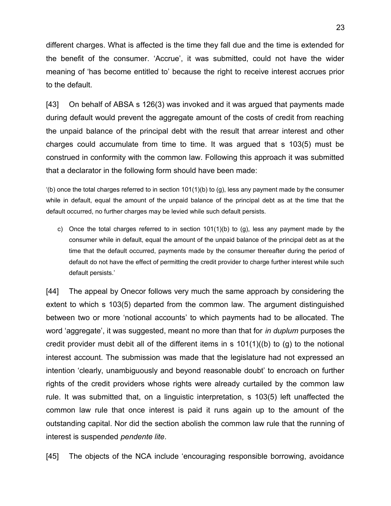different charges. What is affected is the time they fall due and the time is extended for the benefit of the consumer. 'Accrue', it was submitted, could not have the wider meaning of 'has become entitled to' because the right to receive interest accrues prior to the default.

[43] On behalf of ABSA s 126(3) was invoked and it was argued that payments made during default would prevent the aggregate amount of the costs of credit from reaching the unpaid balance of the principal debt with the result that arrear interest and other charges could accumulate from time to time. It was argued that s 103(5) must be construed in conformity with the common law. Following this approach it was submitted that a declarator in the following form should have been made:

 $'(b)$  once the total charges referred to in section 101(1)(b) to (g), less any payment made by the consumer while in default, equal the amount of the unpaid balance of the principal debt as at the time that the default occurred, no further charges may be levied while such default persists.

c) Once the total charges referred to in section  $101(1)(b)$  to (g), less any payment made by the consumer while in default, equal the amount of the unpaid balance of the principal debt as at the time that the default occurred, payments made by the consumer thereafter during the period of default do not have the effect of permitting the credit provider to charge further interest while such default persists.'

[44] The appeal by Onecor follows very much the same approach by considering the extent to which s 103(5) departed from the common law. The argument distinguished between two or more 'notional accounts' to which payments had to be allocated. The word 'aggregate', it was suggested, meant no more than that for *in duplum* purposes the credit provider must debit all of the different items in s 101(1)((b) to (g) to the notional interest account. The submission was made that the legislature had not expressed an intention 'clearly, unambiguously and beyond reasonable doubt' to encroach on further rights of the credit providers whose rights were already curtailed by the common law rule. It was submitted that, on a linguistic interpretation, s 103(5) left unaffected the common law rule that once interest is paid it runs again up to the amount of the outstanding capital. Nor did the section abolish the common law rule that the running of interest is suspended *pendente lite*.

[45] The objects of the NCA include 'encouraging responsible borrowing, avoidance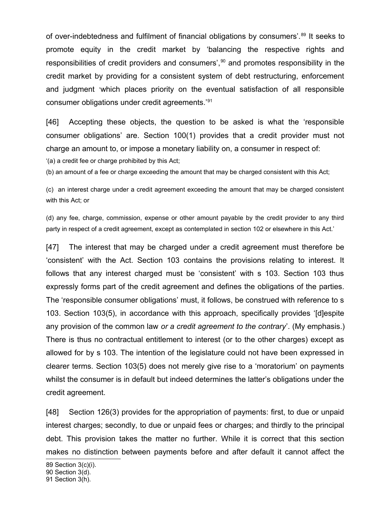of over-indebtedness and fulfilment of financial obligations by consumers'.<sup>[89](#page-23-0)</sup> It seeks to promote equity in the credit market by 'balancing the respective rights and responsibilities of credit providers and consumers',<sup>[90](#page-23-1)</sup> and promotes responsibility in the credit market by providing for a consistent system of debt restructuring, enforcement and judgment 'which places priority on the eventual satisfaction of all responsible consumer obligations under credit agreements.'[91](#page-23-2)

[46] Accepting these objects, the question to be asked is what the 'responsible consumer obligations' are. Section 100(1) provides that a credit provider must not charge an amount to, or impose a monetary liability on, a consumer in respect of:

'(a) a credit fee or charge prohibited by this Act;

(b) an amount of a fee or charge exceeding the amount that may be charged consistent with this Act;

(c) an interest charge under a credit agreement exceeding the amount that may be charged consistent with this Act; or

(d) any fee, charge, commission, expense or other amount payable by the credit provider to any third party in respect of a credit agreement, except as contemplated in section 102 or elsewhere in this Act.'

[47] The interest that may be charged under a credit agreement must therefore be 'consistent' with the Act. Section 103 contains the provisions relating to interest. It follows that any interest charged must be 'consistent' with s 103. Section 103 thus expressly forms part of the credit agreement and defines the obligations of the parties. The 'responsible consumer obligations' must, it follows, be construed with reference to s 103. Section 103(5), in accordance with this approach, specifically provides '[d]espite any provision of the common law *or a credit agreement to the contrary*'. (My emphasis.) There is thus no contractual entitlement to interest (or to the other charges) except as allowed for by s 103. The intention of the legislature could not have been expressed in clearer terms. Section 103(5) does not merely give rise to a 'moratorium' on payments whilst the consumer is in default but indeed determines the latter's obligations under the credit agreement.

[48] Section 126(3) provides for the appropriation of payments: first, to due or unpaid interest charges; secondly, to due or unpaid fees or charges; and thirdly to the principal debt. This provision takes the matter no further. While it is correct that this section makes no distinction between payments before and after default it cannot affect the

<span id="page-23-0"></span><sup>89</sup> Section 3(c)(i).

<span id="page-23-1"></span><sup>90</sup> Section 3(d).

<span id="page-23-2"></span><sup>91</sup> Section 3(h).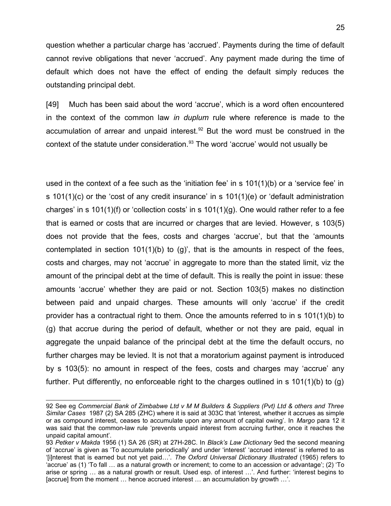question whether a particular charge has 'accrued'. Payments during the time of default cannot revive obligations that never 'accrued'. Any payment made during the time of default which does not have the effect of ending the default simply reduces the outstanding principal debt.

[49] Much has been said about the word 'accrue', which is a word often encountered in the context of the common law *in duplum* rule where reference is made to the accumulation of arrear and unpaid interest. $92$  But the word must be construed in the context of the statute under consideration.<sup>[93](#page-24-1)</sup> The word 'accrue' would not usually be

used in the context of a fee such as the 'initiation fee' in s 101(1)(b) or a 'service fee' in s 101(1)(c) or the 'cost of any credit insurance' in s 101(1)(e) or 'default administration charges' in s 101(1)(f) or 'collection costs' in s 101(1)(g). One would rather refer to a fee that is earned or costs that are incurred or charges that are levied. However, s 103(5) does not provide that the fees, costs and charges 'accrue', but that the 'amounts contemplated in section  $101(1)(b)$  to  $(g)$ , that is the amounts in respect of the fees, costs and charges, may not 'accrue' in aggregate to more than the stated limit, viz the amount of the principal debt at the time of default. This is really the point in issue: these amounts 'accrue' whether they are paid or not. Section 103(5) makes no distinction between paid and unpaid charges. These amounts will only 'accrue' if the credit provider has a contractual right to them. Once the amounts referred to in s 101(1)(b) to (g) that accrue during the period of default, whether or not they are paid, equal in aggregate the unpaid balance of the principal debt at the time the default occurs, no further charges may be levied. It is not that a moratorium against payment is introduced by s 103(5): no amount in respect of the fees, costs and charges may 'accrue' any further. Put differently, no enforceable right to the charges outlined in s 101(1)(b) to (g)

<span id="page-24-0"></span><sup>92</sup> See eg *Commercial Bank of Zimbabwe Ltd v M M Builders & Suppliers (Pvt) Ltd & others and Three Similar Cases* 1987 (2) SA 285 (ZHC) where it is said at 303C that 'interest, whether it accrues as simple or as compound interest, ceases to accumulate upon any amount of capital owing'. In *Margo* para 12 it was said that the common-law rule 'prevents unpaid interest from accruing further, once it reaches the unpaid capital amount'.

<span id="page-24-1"></span><sup>93</sup> *Petker v Makda* 1956 (1) SA 26 (SR) at 27H-28C. In *Black's Law Dictionary* 9ed the second meaning of 'accrue' is given as 'To accumulate periodically' and under 'interest' 'accrued interest' is referred to as '[i]nterest that is earned but not yet paid…'. *The Oxford Universal Dictionary Illustrated* (1965) refers to 'accrue' as (1) 'To fall … as a natural growth or increment; to come to an accession or advantage'; (2) 'To arise or spring … as a natural growth or result. Used esp. of interest …'. And further: 'interest begins to [accrue] from the moment … hence accrued interest … an accumulation by growth …'.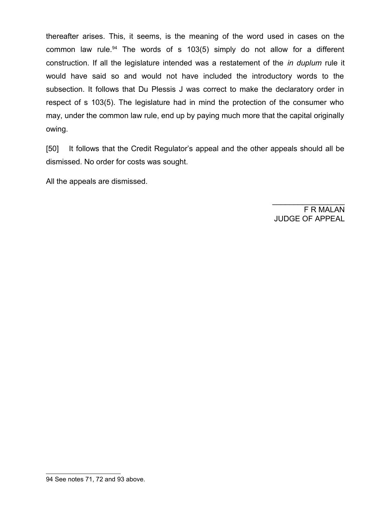thereafter arises. This, it seems, is the meaning of the word used in cases on the common law rule.<sup>[94](#page-25-0)</sup> The words of s 103(5) simply do not allow for a different construction. If all the legislature intended was a restatement of the *in duplum* rule it would have said so and would not have included the introductory words to the subsection. It follows that Du Plessis J was correct to make the declaratory order in respect of s 103(5). The legislature had in mind the protection of the consumer who may, under the common law rule, end up by paying much more that the capital originally owing.

[50] It follows that the Credit Regulator's appeal and the other appeals should all be dismissed. No order for costs was sought.

All the appeals are dismissed.

F R MALAN JUDGE OF APPEAL

 $\frac{1}{2}$ 

<span id="page-25-0"></span><sup>94</sup> See notes 71, 72 and 93 above.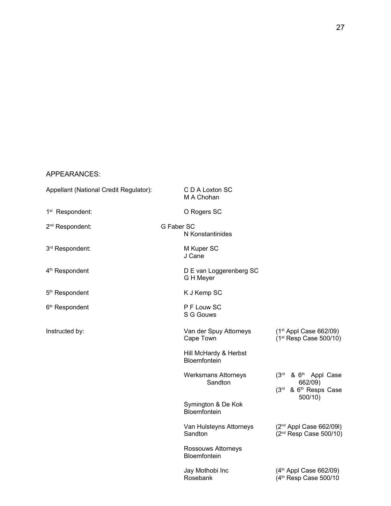### APPEARANCES:

| Appellant (National Credit Regulator): |            | C D A Loxton SC<br>M A Chohan                |                                                                                            |  |
|----------------------------------------|------------|----------------------------------------------|--------------------------------------------------------------------------------------------|--|
| 1 <sup>st</sup> Respondent:            |            | O Rogers SC                                  |                                                                                            |  |
| 2 <sup>nd</sup> Respondent:            | G Faber SC | N Konstantinides                             |                                                                                            |  |
| 3rd Respondent:                        |            | M Kuper SC<br>J Cane                         |                                                                                            |  |
| 4 <sup>th</sup> Respondent             |            | D E van Loggerenberg SC<br>G H Meyer         |                                                                                            |  |
| 5 <sup>th</sup> Respondent             |            | K J Kemp SC                                  |                                                                                            |  |
| 6 <sup>th</sup> Respondent             |            | P F Louw SC<br>S G Gouws                     |                                                                                            |  |
| Instructed by:                         |            | Van der Spuy Attorneys<br>Cape Town          | $(1st$ Appl Case 662/09)<br>(1 <sup>st</sup> Resp Case 500/10)                             |  |
|                                        |            | Hill McHardy & Herbst<br><b>Bloemfontein</b> |                                                                                            |  |
|                                        |            | <b>Werksmans Attorneys</b><br>Sandton        | (3rd & 6 <sup>th</sup> Appl Case<br>662/09)<br>(3rd & 6 <sup>th</sup> Resps Case<br>500/10 |  |
|                                        |            | Symington & De Kok<br>Bloemfontein           |                                                                                            |  |
|                                        |            | Van Hulsteyns Attorneys<br>Sandton           | (2 <sup>nd</sup> Appl Case 662/09l)<br>(2 <sup>nd</sup> Resp Case 500/10)                  |  |
|                                        |            | Rossouws Attorneys<br>Bloemfontein           |                                                                                            |  |
|                                        |            | Jay Mothobi Inc<br>Rosebank                  | (4 <sup>th</sup> Appl Case 662/09)<br>(4 <sup>th</sup> Resp Case 500/10                    |  |